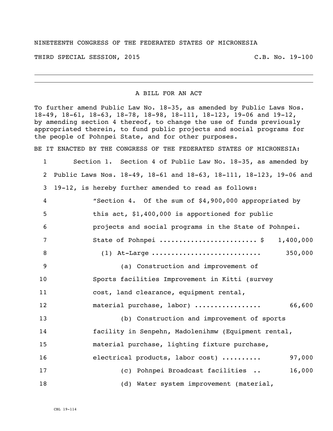## NINETEENTH CONGRESS OF THE FEDERATED STATES OF MICRONESIA

THIRD SPECIAL SESSION, 2015 C.B. No. 19-100

## A BILL FOR AN ACT

To further amend Public Law No. 18-35, as amended by Public Laws Nos. 18-49, 18-61, 18-63, 18-78, 18-98, 18-111, 18-123, 19-06 and 19-12, by amending section 4 thereof, to change the use of funds previously appropriated therein, to fund public projects and social programs for the people of Pohnpei State, and for other purposes.

BE IT ENACTED BY THE CONGRESS OF THE FEDERATED STATES OF MICRONESIA:

 Section 1. Section 4 of Public Law No. 18-35, as amended by Public Laws Nos. 18-49, 18-61 and 18-63, 18-111, 18-123, 19-06 and 19-12, is hereby further amended to read as follows: "Section 4. Of the sum of \$4,900,000 appropriated by this act, \$1,400,000 is apportioned for public projects and social programs in the State of Pohnpei. State of Pohnpei ......................... \$ 1,400,000 (1) At-Large ............................ 350,000 (a) Construction and improvement of Sports facilities Improvement in Kitti (survey cost, land clearance, equipment rental, material purchase, labor) ................. 66,600 (b) Construction and improvement of sports facility in Senpehn, Madolenihmw (Equipment rental, material purchase, lighting fixture purchase, 16 electrical products, labor cost) .......... 97,000 (c) Pohnpei Broadcast facilities .. 16,000 18 (d) Water system improvement (material,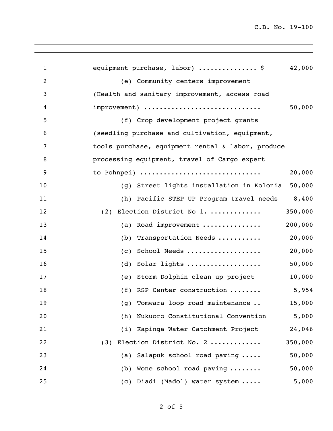C.B. No. 19-100

| $\mathbf{1}$ | equipment purchase, labor)  \$<br>42,000            |
|--------------|-----------------------------------------------------|
| 2            | (e) Community centers improvement                   |
| 3            | (Health and sanitary improvement, access road       |
| 4            | 50,000<br>improvement)                              |
| 5            | (f) Crop development project grants                 |
| 6            | (seedling purchase and cultivation, equipment,      |
| 7            | tools purchase, equipment rental & labor, produce   |
| 8            | processing equipment, travel of Cargo expert        |
| 9            | 20,000<br>to Pohnpei)                               |
| 10           | 50,000<br>(g) Street lights installation in Kolonia |
| 11           | 8,400<br>(h) Pacific STEP UP Program travel needs   |
| 12           | 350,000<br>Election District No 1.<br>(2)           |
| 13           | 200,000<br>Road improvement<br>(a)                  |
| 14           | 20,000<br>Transportation Needs<br>(b)               |
| 15           | School Needs<br>20,000<br>(c)                       |
| 16           | Solar lights<br>50,000<br>(d)                       |
| 17           | 10,000<br>(e) Storm Dolphin clean up project        |
| 18           | (f) RSP Center construction<br>5,954                |
| 19           | 15,000<br>(g) Tomwara loop road maintenance         |
| 20           | Nukuoro Constitutional Convention<br>5,000<br>(h)   |
| 21           | (i) Kapinga Water Catchment Project<br>24,046       |
| 22           | (3) Election District No. 2<br>350,000              |
| 23           | 50,000<br>(a) Salapuk school road paving            |
| 24           | (b) Wone school road paving<br>50,000               |
| 25           | 5,000<br>(c) Diadi (Madol) water system             |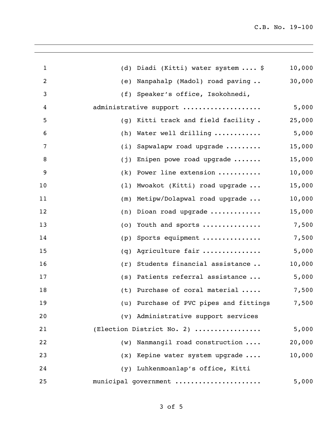| $\mathbf{1}$   | Diadi (Kitti) water system  \$<br>(d)  | 10,000 |
|----------------|----------------------------------------|--------|
| $\overline{c}$ | Nanpahalp (Madol) road paving<br>(e)   | 30,000 |
| 3              | Speaker's office, Isokohnedi,<br>(f)   |        |
| 4              | administrative support                 | 5,000  |
| 5              | Kitti track and field facility.<br>(q) | 25,000 |
| 6              | Water well drilling<br>(h)             | 5,000  |
| 7              | Sapwalapw road upgrade<br>(i)          | 15,000 |
| 8              | Enipen powe road upgrade<br>(j)        | 15,000 |
| 9              | Power line extension<br>(k)            | 10,000 |
| 10             | Mwoakot (Kitti) road upgrade<br>(1)    | 15,000 |
| 11             | Metipw/Dolapwal road upgrade<br>(m)    | 10,000 |
| 12             | Dioan road upgrade<br>(n)              | 15,000 |
| 13             | Youth and sports<br>(0)                | 7,500  |
| 14             | Sports equipment<br>(p)                | 7,500  |
| 15             | Agriculture fair<br>(q)                | 5,000  |
| 16             | Students financial assistance<br>(r)   | 10,000 |
| 17             | Patients referral assistance<br>(s)    | 5,000  |
| 18             | Purchase of coral material<br>(t)      | 7,500  |
| 19             | (u) Purchase of PVC pipes and fittings | 7,500  |
| 20             | (v) Administrative support services    |        |
| 21             | (Election District No. 2)              | 5,000  |
| 22             | Nanmangil road construction<br>(w)     | 20,000 |
| 23             | $(x)$ Kepine water system upgrade      | 10,000 |
| 24             | (y) Luhkenmoanlap's office, Kitti      |        |
| 25             | municipal government                   | 5,000  |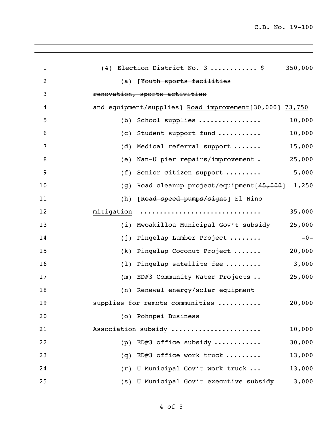| $\mathbf{1}$   | 350,000<br>$(4)$ Election District No. 3  \$            |
|----------------|---------------------------------------------------------|
| $\overline{c}$ | (a) [Youth sports facilities                            |
| 3              | renovation, sports activities                           |
| 4              | and equipment/supplies] Road improvement[30,000] 73,750 |
| 5              | 10,000<br>School supplies<br>(b)                        |
| 6              | 10,000<br>Student support fund<br>(c)                   |
| 7              | Medical referral support<br>15,000<br>(d)               |
| 8              | 25,000<br>Nan-U pier repairs/improvement.<br>(e)        |
| 9              | 5,000<br>Senior citizen support<br>(f)                  |
| 10             | Road cleanup project/equipment[45,000]<br>1,250<br>(g)  |
| 11             | (h)<br>[Road speed pumps/signs] El Nino                 |
| 12             | mitigation<br>35,000                                    |
| 13             | 25,000<br>Mwoakilloa Municipal Gov't subsidy<br>(i)     |
| 14             | Pingelap Lumber Project<br>$-0-$<br>(j)                 |
| 15             | 20,000<br>Pingelap Coconut Project<br>(k)               |
| 16             | 3,000<br>Pingelap satellite fee<br>(1)                  |
| 17             | 25,000<br>ED#3 Community Water Projects<br>(m)          |
| 18             | (n) Renewal energy/solar equipment                      |
| 19             | supplies for remote communities<br>20,000               |
| 20             | (o) Pohnpei Business                                    |
| 21             | Association subsidy<br>10,000                           |
| 22             | ED#3 office subsidy<br>30,000<br>(p)                    |
| 23             | ED#3 office work truck<br>13,000<br>(q)                 |
| 24             | (r) U Municipal Gov't work truck<br>13,000              |
| 25             | (s) U Municipal Gov't executive subsidy<br>3,000        |